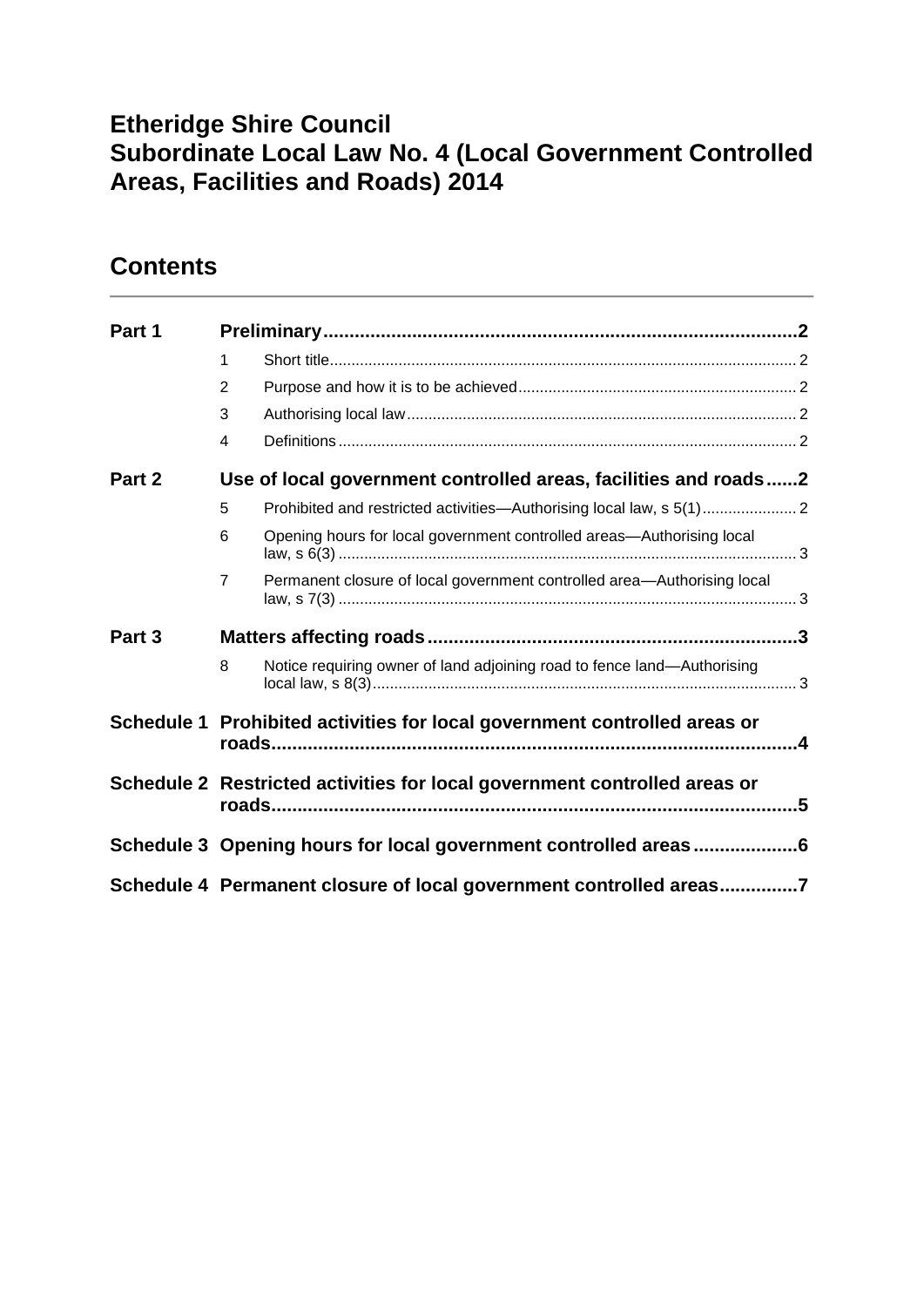# **Etheridge Shire Council Subordinate Local Law No. 4 (Local Government Controlled Areas, Facilities and Roads) 2014**

# **Contents**

| Part 1 |                                                                           |                                                                         |  |  |
|--------|---------------------------------------------------------------------------|-------------------------------------------------------------------------|--|--|
|        | 1                                                                         |                                                                         |  |  |
|        | $\overline{2}$                                                            |                                                                         |  |  |
|        | 3                                                                         |                                                                         |  |  |
|        | 4                                                                         |                                                                         |  |  |
| Part 2 |                                                                           | Use of local government controlled areas, facilities and roads2         |  |  |
|        | 5                                                                         |                                                                         |  |  |
|        | 6                                                                         | Opening hours for local government controlled areas—Authorising local   |  |  |
|        | $\overline{7}$                                                            | Permanent closure of local government controlled area-Authorising local |  |  |
| Part 3 |                                                                           |                                                                         |  |  |
|        | 8                                                                         | Notice requiring owner of land adjoining road to fence land-Authorising |  |  |
|        | Schedule 1 Prohibited activities for local government controlled areas or |                                                                         |  |  |
|        | Schedule 2 Restricted activities for local government controlled areas or |                                                                         |  |  |
|        | Schedule 3 Opening hours for local government controlled areas6           |                                                                         |  |  |
|        | Schedule 4 Permanent closure of local government controlled areas7        |                                                                         |  |  |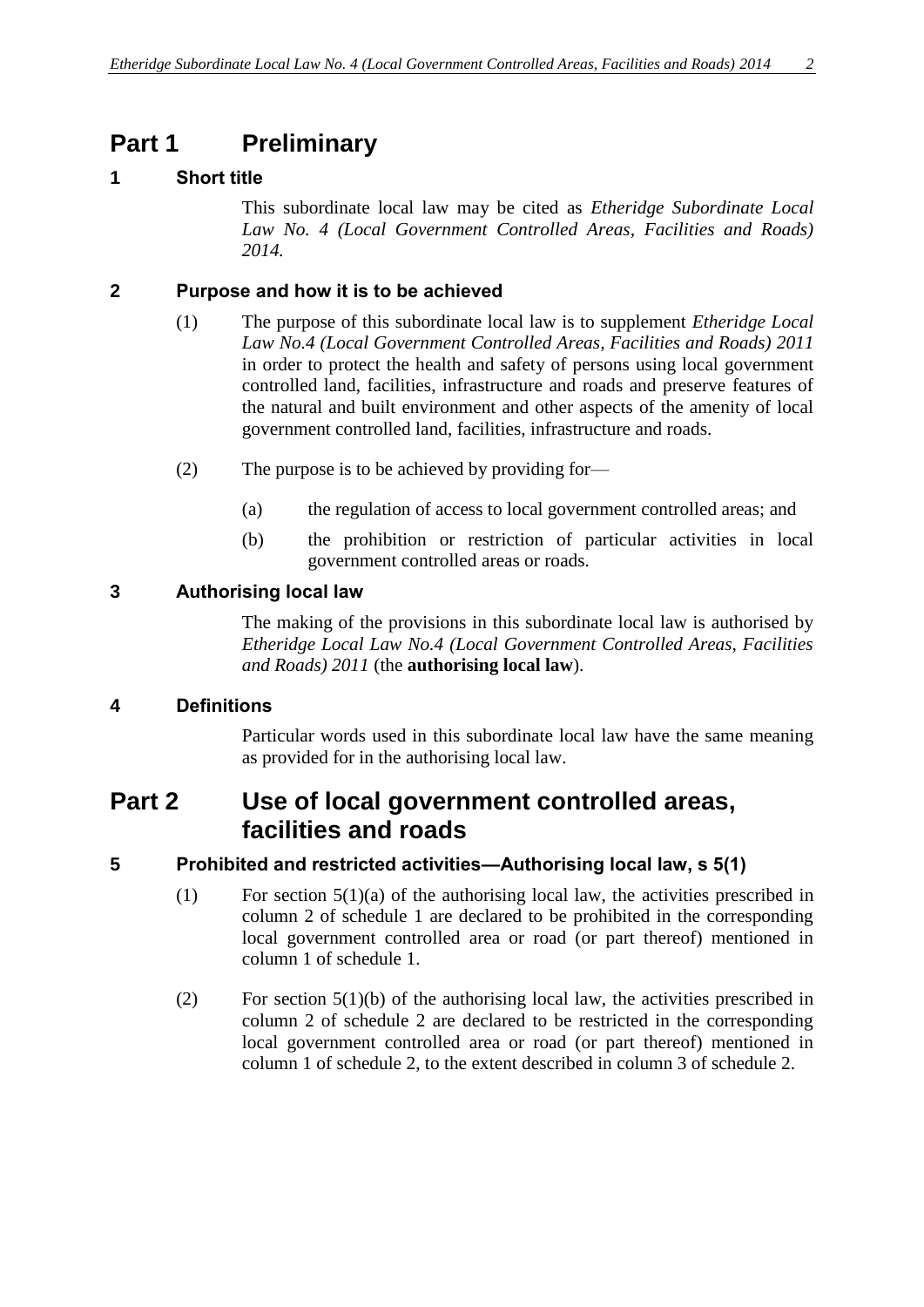# <span id="page-1-0"></span>**Part 1 Preliminary**

### <span id="page-1-1"></span>**1 Short title**

This subordinate local law may be cited as *Etheridge Subordinate Local Law No. 4 (Local Government Controlled Areas, Facilities and Roads) 2014.*

#### <span id="page-1-2"></span>**2 Purpose and how it is to be achieved**

- (1) The purpose of this subordinate local law is to supplement *Etheridge Local Law No.4 (Local Government Controlled Areas, Facilities and Roads) 2011* in order to protect the health and safety of persons using local government controlled land, facilities, infrastructure and roads and preserve features of the natural and built environment and other aspects of the amenity of local government controlled land, facilities, infrastructure and roads.
- (2) The purpose is to be achieved by providing for—
	- (a) the regulation of access to local government controlled areas; and
	- (b) the prohibition or restriction of particular activities in local government controlled areas or roads.

#### <span id="page-1-3"></span>**3 Authorising local law**

The making of the provisions in this subordinate local law is authorised by *Etheridge Local Law No.4 (Local Government Controlled Areas, Facilities and Roads) 2011* (the **authorising local law**).

### <span id="page-1-4"></span>**4 Definitions**

Particular words used in this subordinate local law have the same meaning as provided for in the authorising local law.

### <span id="page-1-5"></span>**Part 2 Use of local government controlled areas, facilities and roads**

### <span id="page-1-6"></span>**5 Prohibited and restricted activities—Authorising local law, s 5(1)**

- (1) For section  $5(1)(a)$  of the authorising local law, the activities prescribed in column 2 of schedule 1 are declared to be prohibited in the corresponding local government controlled area or road (or part thereof) mentioned in column 1 of schedule 1.
- (2) For section 5(1)(b) of the authorising local law, the activities prescribed in column 2 of schedule 2 are declared to be restricted in the corresponding local government controlled area or road (or part thereof) mentioned in column 1 of schedule 2, to the extent described in column 3 of schedule 2.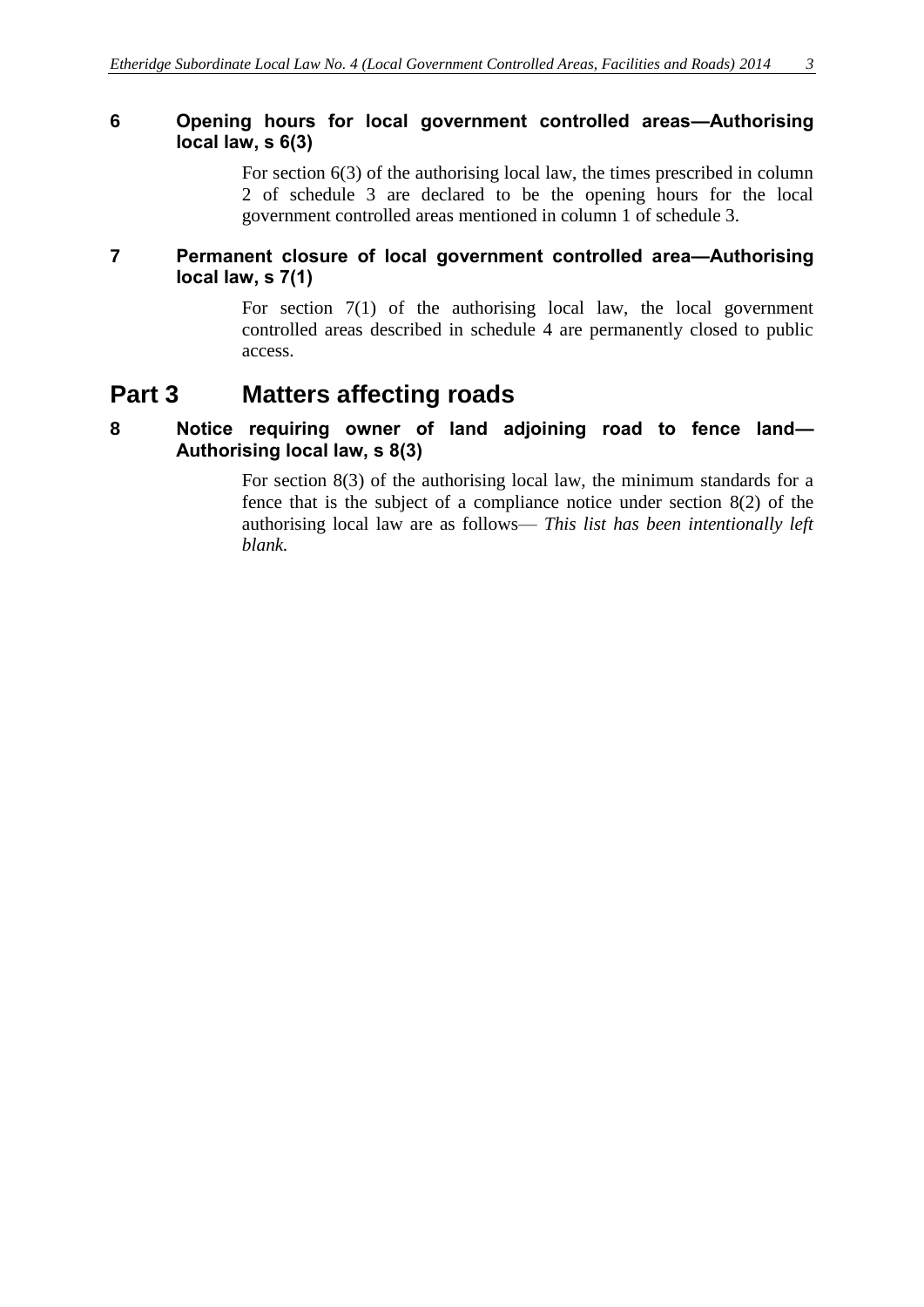### <span id="page-2-0"></span>**6 Opening hours for local government controlled areas—Authorising local law, s 6(3)**

For section 6(3) of the authorising local law, the times prescribed in column 2 of schedule 3 are declared to be the opening hours for the local government controlled areas mentioned in column 1 of schedule 3.

#### <span id="page-2-1"></span>**7 Permanent closure of local government controlled area—Authorising local law, s 7(1)**

For section 7(1) of the authorising local law, the local government controlled areas described in schedule 4 are permanently closed to public access.

### <span id="page-2-2"></span>**Part 3 Matters affecting roads**

#### <span id="page-2-3"></span>**8 Notice requiring owner of land adjoining road to fence land— Authorising local law, s 8(3)**

For section 8(3) of the authorising local law, the minimum standards for a fence that is the subject of a compliance notice under section 8(2) of the authorising local law are as follows— *This list has been intentionally left blank.*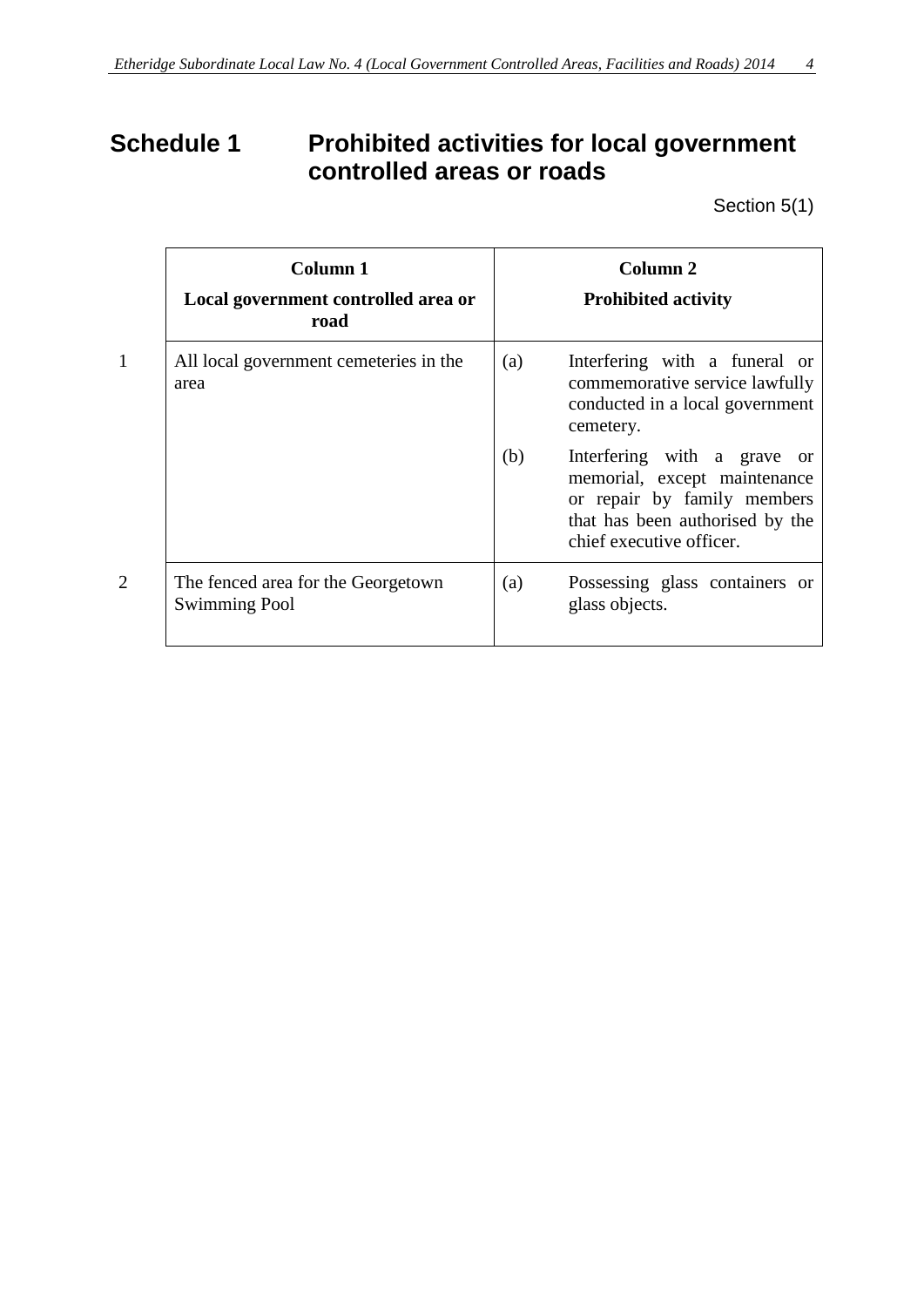# <span id="page-3-0"></span>**Schedule 1 Prohibited activities for local government controlled areas or roads**

Section 5(1)

|                | Column 1<br>Local government controlled area or<br>road    |     | Column 2<br><b>Prohibited activity</b>                                                                                                                    |
|----------------|------------------------------------------------------------|-----|-----------------------------------------------------------------------------------------------------------------------------------------------------------|
| $\mathbf{1}$   | All local government cemeteries in the<br>area             | (a) | Interfering with a funeral or<br>commemorative service lawfully<br>conducted in a local government<br>cemetery.                                           |
|                |                                                            | (b) | Interfering with a grave or<br>memorial, except maintenance<br>or repair by family members<br>that has been authorised by the<br>chief executive officer. |
| $\overline{2}$ | The fenced area for the Georgetown<br><b>Swimming Pool</b> | (a) | Possessing glass containers or<br>glass objects.                                                                                                          |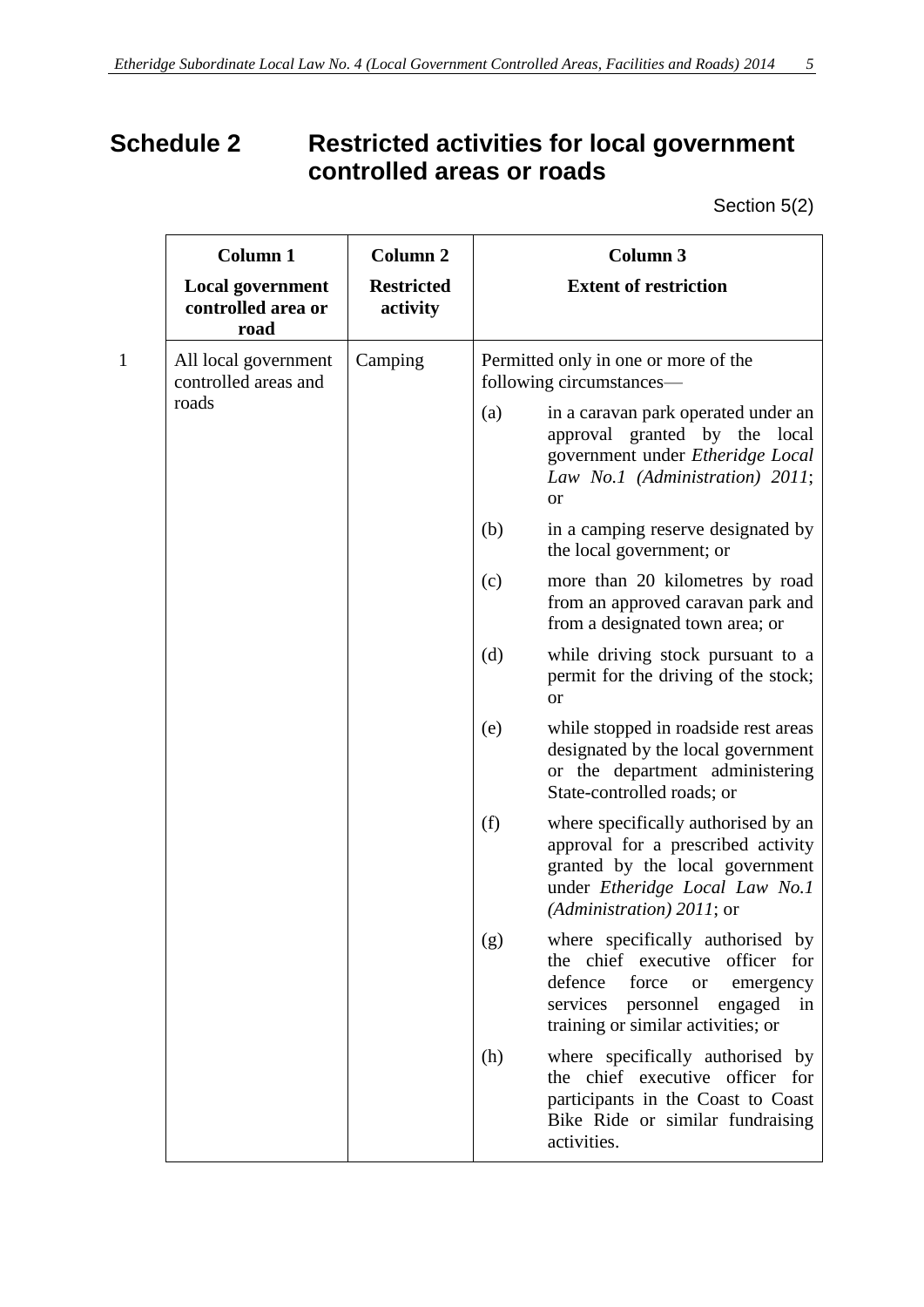# <span id="page-4-0"></span>**Schedule 2 Restricted activities for local government controlled areas or roads**

Section 5(2)

|              | <b>Column 1</b>                                       | <b>Column 2</b>               | <b>Column 3</b>                                                  |                                                                                                                                                                                                      |  |
|--------------|-------------------------------------------------------|-------------------------------|------------------------------------------------------------------|------------------------------------------------------------------------------------------------------------------------------------------------------------------------------------------------------|--|
|              | <b>Local government</b><br>controlled area or<br>road | <b>Restricted</b><br>activity |                                                                  | <b>Extent of restriction</b>                                                                                                                                                                         |  |
| $\mathbf{1}$ | All local government<br>controlled areas and          | Camping                       | Permitted only in one or more of the<br>following circumstances— |                                                                                                                                                                                                      |  |
|              | roads                                                 |                               | (a)                                                              | in a caravan park operated under an<br>approval granted by the local<br>government under Etheridge Local<br>Law No.1 (Administration) 2011;<br><b>or</b>                                             |  |
|              |                                                       |                               | (b)                                                              | in a camping reserve designated by<br>the local government; or                                                                                                                                       |  |
|              |                                                       |                               | (c)                                                              | more than 20 kilometres by road<br>from an approved caravan park and<br>from a designated town area; or                                                                                              |  |
|              |                                                       |                               | (d)                                                              | while driving stock pursuant to a<br>permit for the driving of the stock;<br><b>or</b>                                                                                                               |  |
|              |                                                       |                               | (e)                                                              | while stopped in roadside rest areas<br>designated by the local government<br>or the department administering<br>State-controlled roads; or                                                          |  |
|              |                                                       |                               | (f)                                                              | where specifically authorised by an<br>approval for a prescribed activity<br>granted by the local government<br>under Etheridge Local Law No.1<br>(Administration) $2011$ ; or                       |  |
|              |                                                       |                               | (g)                                                              | where specifically authorised by<br>the chief executive<br>officer for<br>defence<br>force<br><b>or</b><br>emergency<br>services<br>personnel<br>engaged<br>in<br>training or similar activities; or |  |
|              |                                                       |                               | (h)                                                              | where specifically authorised by<br>the chief executive officer for<br>participants in the Coast to Coast<br>Bike Ride or similar fundraising<br>activities.                                         |  |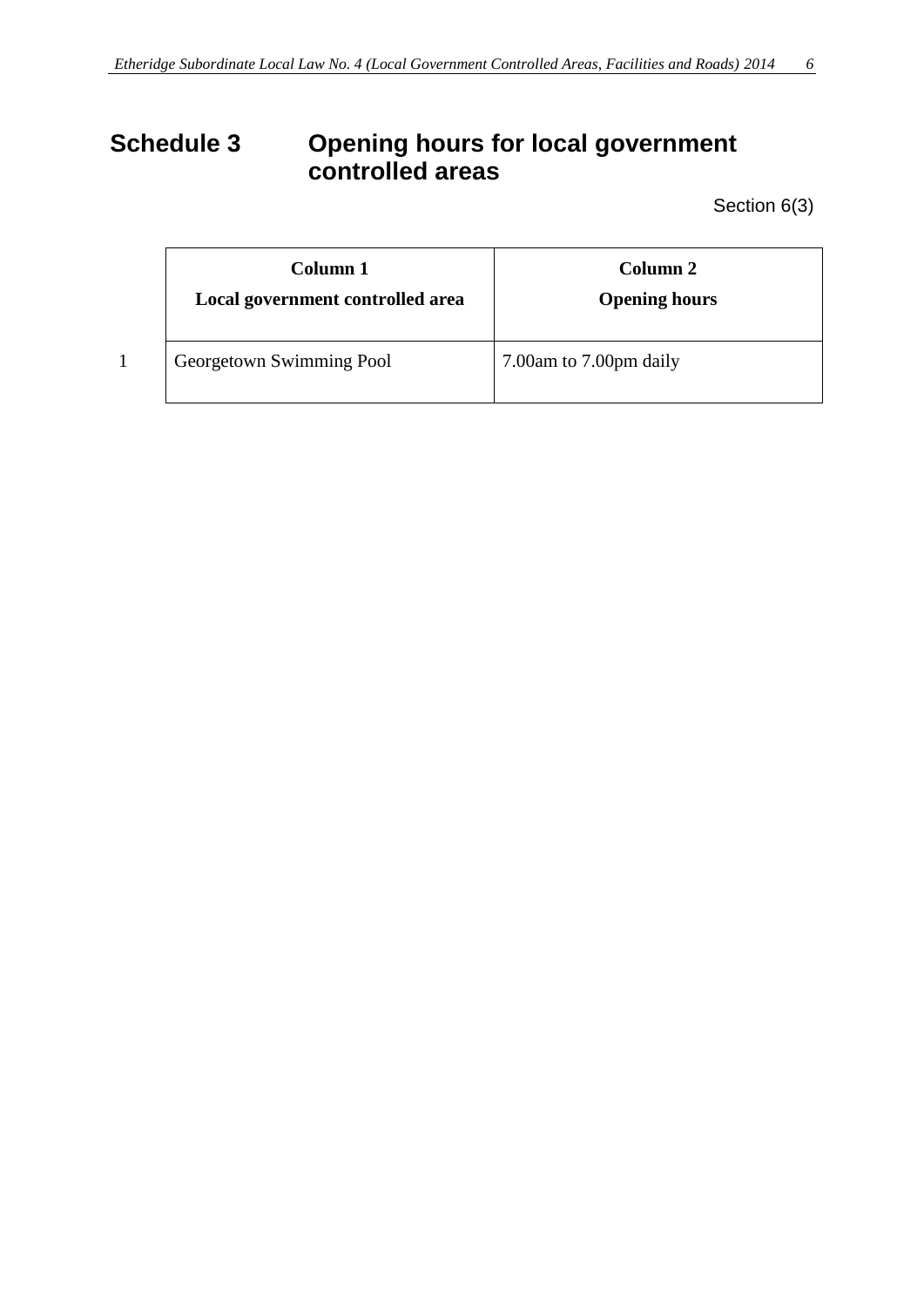# <span id="page-5-0"></span>**Schedule 3 Opening hours for local government controlled areas**

Section 6(3)

| Column 1<br>Local government controlled area | Column 2<br><b>Opening hours</b> |
|----------------------------------------------|----------------------------------|
| Georgetown Swimming Pool                     | 7.00am to 7.00pm daily           |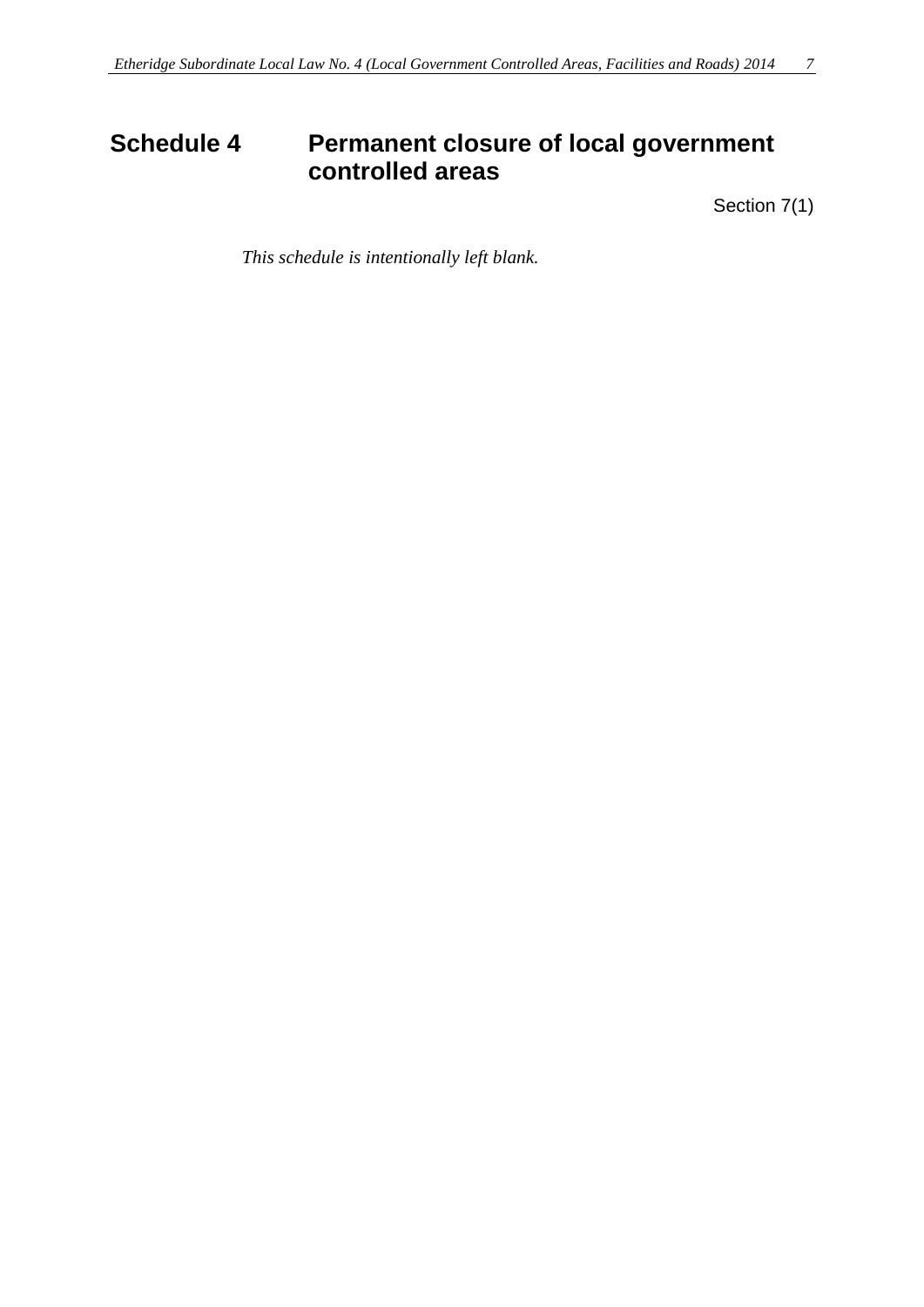# <span id="page-6-0"></span>**Schedule 4 Permanent closure of local government controlled areas**

Section 7(1)

*This schedule is intentionally left blank.*